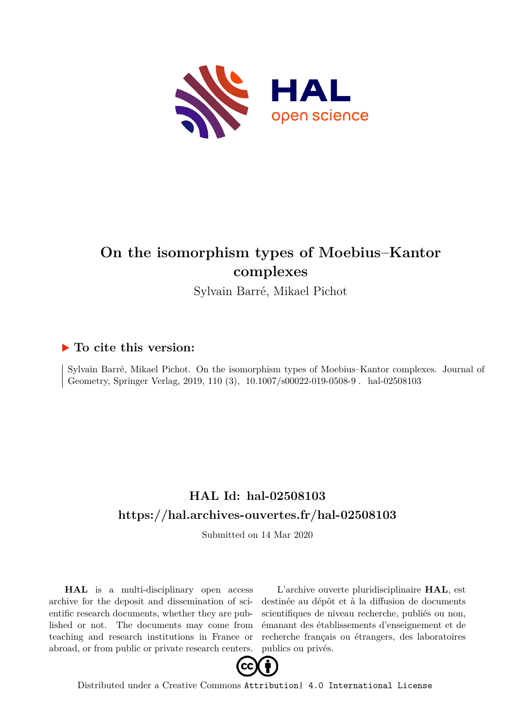

# **On the isomorphism types of Moebius–Kantor complexes**

Sylvain Barré, Mikael Pichot

### **To cite this version:**

Sylvain Barré, Mikael Pichot. On the isomorphism types of Moebius–Kantor complexes. Journal of Geometry, Springer Verlag, 2019, 110 (3), 10.1007/s00022-019-0508-9. hal-02508103

## **HAL Id: hal-02508103 <https://hal.archives-ouvertes.fr/hal-02508103>**

Submitted on 14 Mar 2020

**HAL** is a multi-disciplinary open access archive for the deposit and dissemination of scientific research documents, whether they are published or not. The documents may come from teaching and research institutions in France or abroad, or from public or private research centers.

L'archive ouverte pluridisciplinaire **HAL**, est destinée au dépôt et à la diffusion de documents scientifiques de niveau recherche, publiés ou non, émanant des établissements d'enseignement et de recherche français ou étrangers, des laboratoires publics ou privés.



Distributed under a Creative Commons [Attribution| 4.0 International License](http://creativecommons.org/licenses/by/4.0/)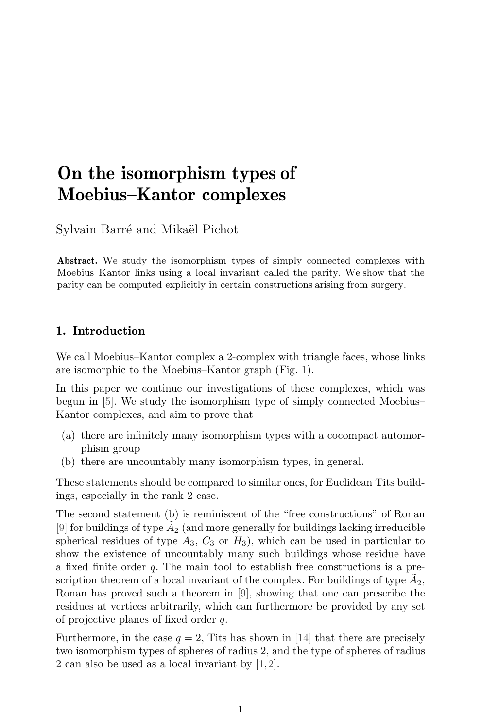## **On the isomorphism types of Moebius–Kantor complexes**

Sylvain Barré and Mikaël Pichot

Abstract. We study the isomorphism types of simply connected complexes with Moebius–Kantor links using a local invariant called the parity. We show that the parity can be computed explicitly in certain constructions arising from surgery.

#### **1. Introduction**

We call Moebius–Kantor complex a 2-complex with triangle faces, whose links are isomorphic to the Moebius–Kantor graph (Fig. 1).

In this paper we continue our investigations of these complexes, which was begun in [5]. We study the isomorphism type of simply connected Moebius– Kantor complexes, and aim to prove that

- (a) there are infinitely many isomorphism types with a cocompact automorphism group
- (b) there are uncountably many isomorphism types, in general.

These statements should be compared to similar ones, for Euclidean Tits buildings, especially in the rank 2 case.

The second statement (b) is reminiscent of the "free constructions" of Ronan [9] for buildings of type  $A_2$  (and more generally for buildings lacking irreducible spherical residues of type  $A_3$ ,  $C_3$  or  $H_3$ ), which can be used in particular to show the existence of uncountably many such buildings whose residue have a fixed finite order q. The main tool to establish free constructions is a prescription theorem of a local invariant of the complex. For buildings of type  $A_2$ , Ronan has proved such a theorem in [9], showing that one can prescribe the residues at vertices arbitrarily, which can furthermore be provided by any set of projective planes of fixed order q.

Furthermore, in the case  $q = 2$ , Tits has shown in [14] that there are precisely two isomorphism types of spheres of radius 2, and the type of spheres of radius 2 can also be used as a local invariant by [1,2].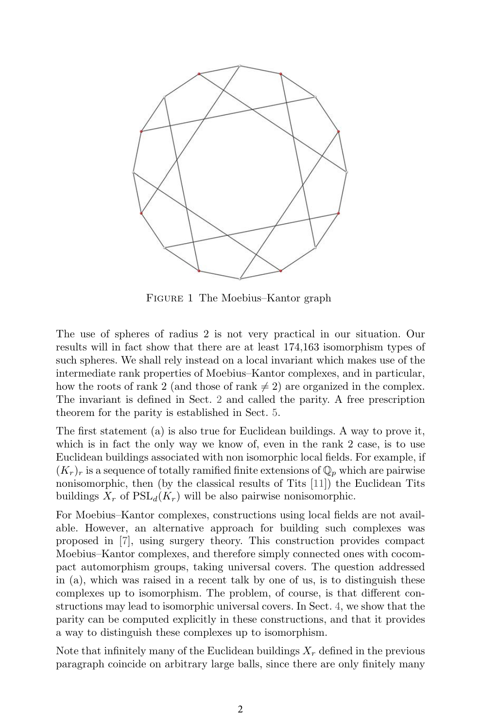

Figure 1 The Moebius–Kantor graph

The use of spheres of radius 2 is not very practical in our situation. Our results will in fact show that there are at least 174,163 isomorphism types of such spheres. We shall rely instead on a local invariant which makes use of the intermediate rank properties of Moebius–Kantor complexes, and in particular, how the roots of rank 2 (and those of rank  $\neq$  2) are organized in the complex. The invariant is defined in Sect. 2 and called the parity. A free prescription theorem for the parity is established in Sect. 5.

The first statement (a) is also true for Euclidean buildings. A way to prove it, which is in fact the only way we know of, even in the rank 2 case, is to use Euclidean buildings associated with non isomorphic local fields. For example, if  $(K_r)_r$  is a sequence of totally ramified finite extensions of  $\mathbb{Q}_p$  which are pairwise nonisomorphic, then (by the classical results of Tits [11]) the Euclidean Tits buildings  $X_r$  of  $PSL_d(K_r)$  will be also pairwise nonisomorphic.

For Moebius–Kantor complexes, constructions using local fields are not available. However, an alternative approach for building such complexes was proposed in [7], using surgery theory. This construction provides compact Moebius–Kantor complexes, and therefore simply connected ones with cocompact automorphism groups, taking universal covers. The question addressed in (a), which was raised in a recent talk by one of us, is to distinguish these complexes up to isomorphism. The problem, of course, is that different constructions may lead to isomorphic universal covers. In Sect. 4, we show that the parity can be computed explicitly in these constructions, and that it provides a way to distinguish these complexes up to isomorphism.

Note that infinitely many of the Euclidean buildings  $X_r$  defined in the previous paragraph coincide on arbitrary large balls, since there are only finitely many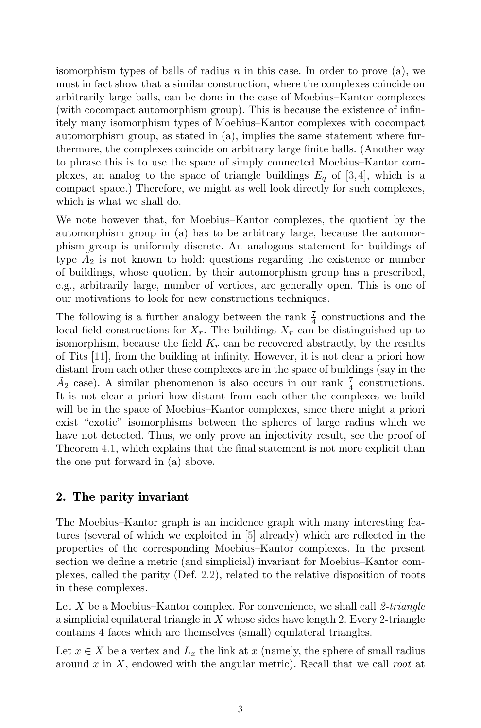isomorphism types of balls of radius  $n$  in this case. In order to prove (a), we must in fact show that a similar construction, where the complexes coincide on arbitrarily large balls, can be done in the case of Moebius–Kantor complexes (with cocompact automorphism group). This is because the existence of infinitely many isomorphism types of Moebius–Kantor complexes with cocompact automorphism group, as stated in (a), implies the same statement where furthermore, the complexes coincide on arbitrary large finite balls. (Another way to phrase this is to use the space of simply connected Moebius–Kantor complexes, an analog to the space of triangle buildings  $E_q$  of [3,4], which is a compact space.) Therefore, we might as well look directly for such complexes, which is what we shall do.

We note however that, for Moebius–Kantor complexes, the quotient by the automorphism group in (a) has to be arbitrary large, because the automorphism group is uniformly discrete. An analogous statement for buildings of type  $A_2$  is not known to hold: questions regarding the existence or number of buildings, whose quotient by their automorphism group has a prescribed, e.g., arbitrarily large, number of vertices, are generally open. This is one of our motivations to look for new constructions techniques.

The following is a further analogy between the rank  $\frac{7}{4}$  constructions and the local field constructions for  $X_r$ . The buildings  $X_r$  can be distinguished up to isomorphism, because the field  $K_r$  can be recovered abstractly, by the results of Tits [11], from the building at infinity. However, it is not clear a priori how distant from each other these complexes are in the space of buildings (say in the  $\tilde{A}_2$  case). A similar phenomenon is also occurs in our rank  $\frac{7}{4}$  constructions. It is not clear a priori how distant from each other the complexes we build will be in the space of Moebius–Kantor complexes, since there might a priori exist "exotic" isomorphisms between the spheres of large radius which we have not detected. Thus, we only prove an injectivity result, see the proof of Theorem 4.1, which explains that the final statement is not more explicit than the one put forward in (a) above.

### **2. The parity invariant**

The Moebius–Kantor graph is an incidence graph with many interesting features (several of which we exploited in [5] already) which are reflected in the properties of the corresponding Moebius–Kantor complexes. In the present section we define a metric (and simplicial) invariant for Moebius–Kantor complexes, called the parity (Def. 2.2), related to the relative disposition of roots in these complexes.

Let X be a Moebius–Kantor complex. For convenience, we shall call *2-triangle* a simplicial equilateral triangle in  $X$  whose sides have length 2. Every 2-triangle contains 4 faces which are themselves (small) equilateral triangles.

Let  $x \in X$  be a vertex and  $L_x$  the link at x (namely, the sphere of small radius around x in X, endowed with the angular metric). Recall that we call *root* at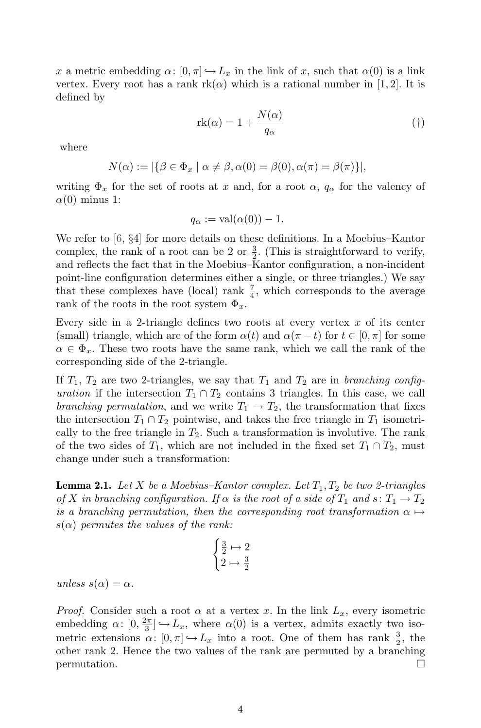x a metric embedding  $\alpha: [0, \pi] \hookrightarrow L_x$  in the link of x, such that  $\alpha(0)$  is a link vertex. Every root has a rank  $rk(\alpha)$  which is a rational number in [1, 2]. It is defined by

$$
rk(\alpha) = 1 + \frac{N(\alpha)}{q_{\alpha}} \tag{\dagger}
$$

where

$$
N(\alpha) := |\{\beta \in \Phi_x \mid \alpha \neq \beta, \alpha(0) = \beta(0), \alpha(\pi) = \beta(\pi)\}|,
$$

writing  $\Phi_x$  for the set of roots at x and, for a root  $\alpha$ ,  $q_\alpha$  for the valency of  $\alpha(0)$  minus 1:

$$
q_{\alpha} := \text{val}(\alpha(0)) - 1.
$$

We refer to [6, §4] for more details on these definitions. In a Moebius–Kantor complex, the rank of a root can be 2 or  $\frac{3}{2}$ . (This is straightforward to verify, and reflects the fact that in the Moebius–Kantor configuration, a non-incident point-line configuration determines either a single, or three triangles.) We say that these complexes have (local) rank  $\frac{7}{4}$ , which corresponds to the average rank of the roots in the root system  $\Phi_x$ .

Every side in a 2-triangle defines two roots at every vertex  $x$  of its center (small) triangle, which are of the form  $\alpha(t)$  and  $\alpha(\pi - t)$  for  $t \in [0, \pi]$  for some  $\alpha \in \Phi_x$ . These two roots have the same rank, which we call the rank of the corresponding side of the 2-triangle.

If  $T_1$ ,  $T_2$  are two 2-triangles, we say that  $T_1$  and  $T_2$  are in *branching configuration* if the intersection  $T_1 \cap T_2$  contains 3 triangles. In this case, we call *branching permutation*, and we write  $T_1 \rightarrow T_2$ , the transformation that fixes the intersection  $T_1 \cap T_2$  pointwise, and takes the free triangle in  $T_1$  isometrically to the free triangle in  $T_2$ . Such a transformation is involutive. The rank of the two sides of  $T_1$ , which are not included in the fixed set  $T_1 \cap T_2$ , must change under such a transformation:

**Lemma 2.1.** *Let*  $X$  *be a Moebius–Kantor complex. Let*  $T_1, T_2$  *be two 2-triangles of* X *in branching configuration.* If  $\alpha$  *is the root of a side of*  $T_1$  *and*  $s: T_1 \rightarrow T_2$ *is a branching permutation, then the corresponding root transformation*  $\alpha \mapsto$ s(α) *permutes the values of the rank:*

$$
\begin{cases} \frac{3}{2} \mapsto 2\\ 2 \mapsto \frac{3}{2} \end{cases}
$$

 $unless \space s(\alpha) = \alpha.$ 

*Proof.* Consider such a root  $\alpha$  at a vertex x. In the link  $L_x$ , every isometric embedding  $\alpha: [0, \frac{2\pi}{3}] \hookrightarrow L_x$ , where  $\alpha(0)$  is a vertex, admits exactly two isometric extensions  $\alpha: [0, \pi] \hookrightarrow L_x$  into a root. One of them has rank  $\frac{3}{2}$ , the other rank 2. Hence the two values of the rank are permuted by a branching  $\Box$  permutation.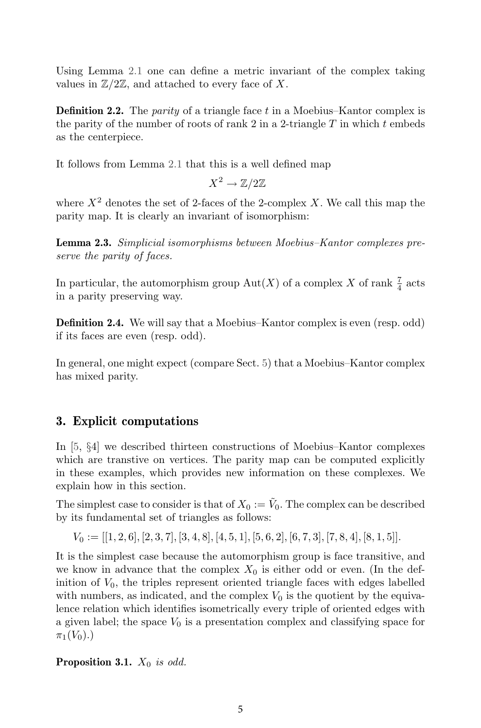Using Lemma 2.1 one can define a metric invariant of the complex taking values in  $\mathbb{Z}/2\mathbb{Z}$ , and attached to every face of X.

**Definition 2.2.** The *parity* of a triangle face t in a Moebius–Kantor complex is the parity of the number of roots of rank  $2$  in a 2-triangle  $T$  in which  $t$  embeds as the centerpiece.

It follows from Lemma 2.1 that this is a well defined map

$$
X^2\to\mathbb{Z}/2\mathbb{Z}
$$

where  $X^2$  denotes the set of 2-faces of the 2-complex X. We call this map the parity map. It is clearly an invariant of isomorphism:

**Lemma 2.3.** *Simplicial isomorphisms between Moebius–Kantor complexes preserve the parity of faces.*

In particular, the automorphism group  $\mathrm{Aut}(X)$  of a complex X of rank  $\frac{7}{4}$  acts in a parity preserving way.

**Definition 2.4.** We will say that a Moebius–Kantor complex is even (resp. odd) if its faces are even (resp. odd).

In general, one might expect (compare Sect. 5) that a Moebius–Kantor complex has mixed parity.

### **3. Explicit computations**

In [5, §4] we described thirteen constructions of Moebius–Kantor complexes which are transtive on vertices. The parity map can be computed explicitly in these examples, which provides new information on these complexes. We explain how in this section.

The simplest case to consider is that of  $X_0 := \tilde{V}_0$ . The complex can be described by its fundamental set of triangles as follows:

 $V_0 := [[1, 2, 6], [2, 3, 7], [3, 4, 8], [4, 5, 1], [5, 6, 2], [6, 7, 3], [7, 8, 4], [8, 1, 5]].$ 

It is the simplest case because the automorphism group is face transitive, and we know in advance that the complex  $X_0$  is either odd or even. (In the definition of  $V_0$ , the triples represent oriented triangle faces with edges labelled with numbers, as indicated, and the complex  $V_0$  is the quotient by the equivalence relation which identifies isometrically every triple of oriented edges with a given label; the space  $V_0$  is a presentation complex and classifying space for  $\pi_1(V_0)$ .)

**Proposition 3.1.**  $X_0$  *is odd.*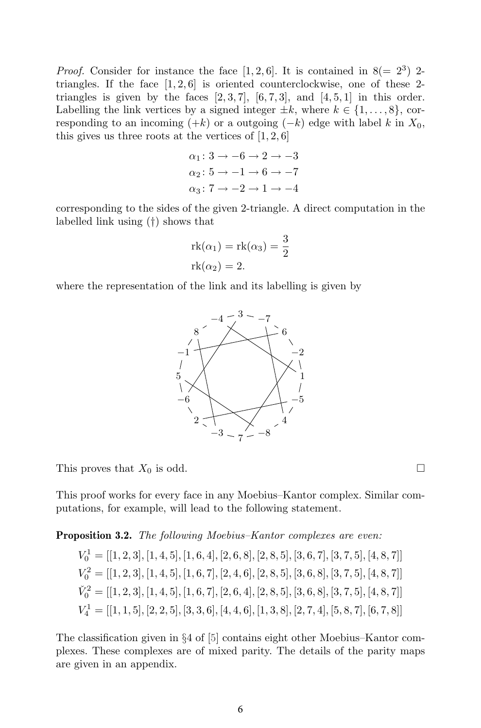*Proof.* Consider for instance the face  $[1, 2, 6]$ . It is contained in  $8(= 2^3)$  2triangles. If the face  $[1, 2, 6]$  is oriented counterclockwise, one of these 2triangles is given by the faces  $[2, 3, 7]$ ,  $[6, 7, 3]$ , and  $[4, 5, 1]$  in this order. Labelling the link vertices by a signed integer  $\pm k$ , where  $k \in \{1, \ldots, 8\}$ , corresponding to an incoming  $(+k)$  or a outgoing  $(-k)$  edge with label k in  $X_0$ , this gives us three roots at the vertices of  $[1, 2, 6]$ 

$$
\alpha_1: 3 \to -6 \to 2 \to -3
$$
  
\n
$$
\alpha_2: 5 \to -1 \to 6 \to -7
$$
  
\n
$$
\alpha_3: 7 \to -2 \to 1 \to -4
$$

corresponding to the sides of the given 2-triangle. A direct computation in the labelled link using (†) shows that

$$
rk(\alpha_1) = rk(\alpha_3) = \frac{3}{2}
$$
  

$$
rk(\alpha_2) = 2.
$$

where the representation of the link and its labelling is given by



This proves that  $X_0$  is odd.  $\square$ 

This proof works for every face in any Moebius–Kantor complex. Similar computations, for example, will lead to the following statement.

**Proposition 3.2.** *The following Moebius–Kantor complexes are even:*

 $V_0^1 = [[1, 2, 3], [1, 4, 5], [1, 6, 4], [2, 6, 8], [2, 8, 5], [3, 6, 7], [3, 7, 5], [4, 8, 7]]$  $V_0^2 = [[1, 2, 3], [1, 4, 5], [1, 6, 7], [2, 4, 6], [2, 8, 5], [3, 6, 8], [3, 7, 5], [4, 8, 7]]$  $\check{V}^2_0 = [[1, 2, 3], [1, 4, 5], [1, 6, 7], [2, 6, 4], [2, 8, 5], [3, 6, 8], [3, 7, 5], [4, 8, 7]]$  $V_4^1=[[1,1,5],[2,2,5],[3,3,6],[4,4,6],[1,3,8],[2,7,4],[5,8,7],[6,7,8]]$ 

The classification given in §4 of [5] contains eight other Moebius–Kantor complexes. These complexes are of mixed parity. The details of the parity maps are given in an appendix.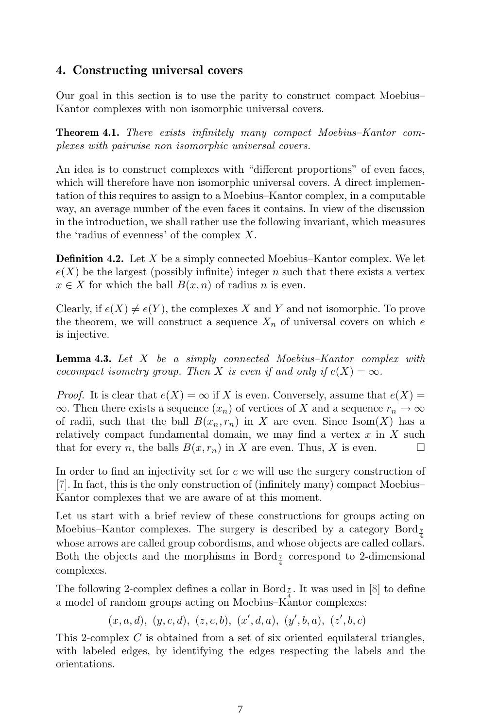#### **4. Constructing universal covers**

Our goal in this section is to use the parity to construct compact Moebius– Kantor complexes with non isomorphic universal covers.

**Theorem 4.1.** *There exists infinitely many compact Moebius–Kantor complexes with pairwise non isomorphic universal covers.*

An idea is to construct complexes with "different proportions" of even faces, which will therefore have non isomorphic universal covers. A direct implementation of this requires to assign to a Moebius–Kantor complex, in a computable way, an average number of the even faces it contains. In view of the discussion in the introduction, we shall rather use the following invariant, which measures the 'radius of evenness' of the complex X.

**Definition 4.2.** Let X be a simply connected Moebius–Kantor complex. We let  $e(X)$  be the largest (possibly infinite) integer n such that there exists a vertex  $x \in X$  for which the ball  $B(x, n)$  of radius n is even.

Clearly, if  $e(X) \neq e(Y)$ , the complexes X and Y and not isomorphic. To prove the theorem, we will construct a sequence  $X_n$  of universal covers on which e is injective.

**Lemma 4.3.** *Let* X *be a simply connected Moebius–Kantor complex with cocompact isometry group. Then* X *is even if and only if*  $e(X) = \infty$ *.* 

*Proof.* It is clear that  $e(X) = \infty$  if X is even. Conversely, assume that  $e(X) =$  $\infty$ . Then there exists a sequence  $(x_n)$  of vertices of X and a sequence  $r_n \to \infty$ of radii, such that the ball  $B(x_n, r_n)$  in X are even. Since Isom(X) has a relatively compact fundamental domain, we may find a vertex  $x$  in  $X$  such that for every *n*, the balls  $B(x, r_n)$  in X are even. Thus, X is even.  $\Box$ 

In order to find an injectivity set for e we will use the surgery construction of [7]. In fact, this is the only construction of (infinitely many) compact Moebius– Kantor complexes that we are aware of at this moment.

Let us start with a brief review of these constructions for groups acting on Moebius–Kantor complexes. The surgery is described by a category  $Bord_{\mathcal{I}}$ whose arrows are called group cobordisms, and whose objects are called collars. Both the objects and the morphisms in Bord<sub> $\frac{7}{4}$ </sub> correspond to 2-dimensional complexes.

The following 2-complex defines a collar in Bord  $_{\frac{7}{4}}$ . It was used in [8] to define a model of random groups acting on Moebius–Kantor complexes:

 $(x, a, d), (y, c, d), (z, c, b), (x', d, a), (y', b, a), (z', b, c)$ 

This 2-complex  $C$  is obtained from a set of six oriented equilateral triangles, with labeled edges, by identifying the edges respecting the labels and the orientations.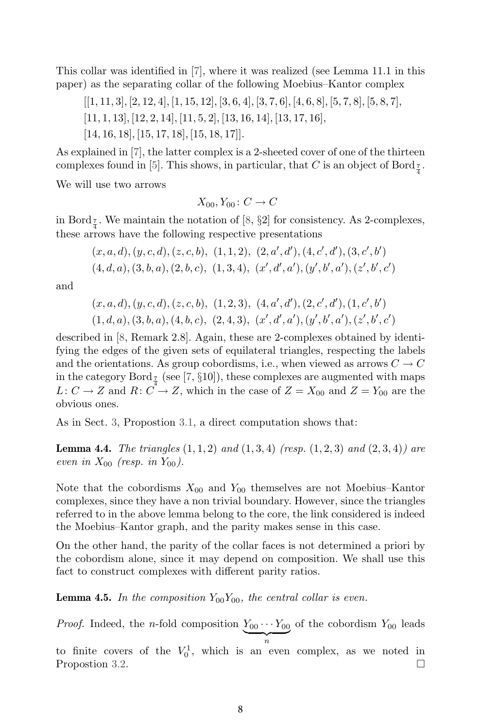This collar was identified in [7], where it was realized (see Lemma 11.1 in this paper) as the separating collar of the following Moebius–Kantor complex

 $[1, 11, 3], [2, 12, 4], [1, 15, 12], [3, 6, 4], [3, 7, 6], [4, 6, 8], [5, 7, 8], [5, 8, 7],$ [11, 1, 13], [12, 2, 14], [11, 5, 2], [13, 16, 14], [13, 17, 16], [14, 16, 18], [15, 17, 18], [15, 18, 17]].

As explained in [7], the latter complex is a 2-sheeted cover of one of the thirteen complexes found in [5]. This shows, in particular, that C is an object of Bord<sub> $\frac{7}{4}$ </sub>.

We will use two arrows

$$
X_{00}, Y_{00} : C \to C
$$

in Bord  $\frac{7}{4}$ . We maintain the notation of [8, §2] for consistency. As 2-complexes, these arrows have the following respective presentations

$$
(x, a, d), (y, c, d), (z, c, b), (1, 1, 2), (2, a', d'), (4, c', d'), (3, c', b')
$$
  

$$
(4, d, a), (3, b, a), (2, b, c), (1, 3, 4), (x', d', a'), (y', b', a'), (z', b', c')
$$

and

$$
(x, a, d), (y, c, d), (z, c, b), (1, 2, 3), (4, a', d'), (2, c', d'), (1, c', b')
$$
  

$$
(1, d, a), (3, b, a), (4, b, c), (2, 4, 3), (x', d', a'), (y', b', a'), (z', b', c')
$$

described in [8, Remark 2.8]. Again, these are 2-complexes obtained by identifying the edges of the given sets of equilateral triangles, respecting the labels and the orientations. As group cobordisms, i.e., when viewed as arrows  $C \to C$ in the category Bord  $\frac{7}{4}$  (see [7, §10]), these complexes are augmented with maps  $L: C \to Z$  and  $R: C \to Z$ , which in the case of  $Z = X_{00}$  and  $Z = Y_{00}$  are the obvious ones.

As in Sect. 3, Propostion 3.1, a direct computation shows that:

**Lemma 4.4.** *The triangles* (1, 1, 2) *and* (1, 3, 4) *(resp.* (1, 2, 3) *and* (2, 3, 4)*) are even in*  $X_{00}$  (resp. *in*  $Y_{00}$ ).

Note that the cobordisms  $X_{00}$  and  $Y_{00}$  themselves are not Moebius–Kantor complexes, since they have a non trivial boundary. However, since the triangles referred to in the above lemma belong to the core, the link considered is indeed the Moebius–Kantor graph, and the parity makes sense in this case.

On the other hand, the parity of the collar faces is not determined a priori by the cobordism alone, since it may depend on composition. We shall use this fact to construct complexes with different parity ratios.

**Lemma 4.5.** In the composition  $Y_{00}Y_{00}$ , the central collar is even.

*Proof.* Indeed, the *n*-fold composition  $\underline{Y_{00} \cdots Y_{00}}$  of the cobordism  $Y_{00}$  leads

 $\overbrace{n}$ to finite covers of the  $V_0^1$ , which is an even complex, as we noted in Propostion 3.2.  $\Box$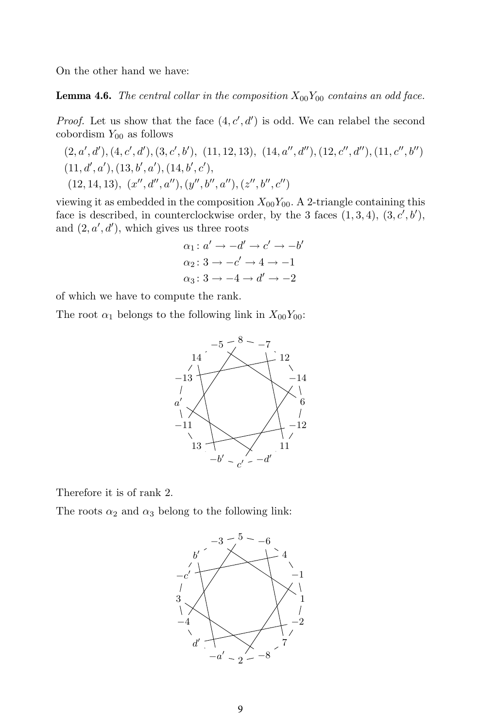On the other hand we have:

**Lemma 4.6.** *The central collar in the composition*  $X_{00}Y_{00}$  *contains an odd face.* 

*Proof.* Let us show that the face  $(4, c', d')$  is odd. We can relabel the second cobordism  $Y_{00}$  as follows

$$
(2, a', d'), (4, c', d'), (3, c', b'), (11, 12, 13), (14, a'', d''), (12, c'', d''), (11, c'', b'')
$$
  

$$
(11, d', a'), (13, b', a'), (14, b', c'), (14, b'', c''), (14, b'', c'')
$$
  

$$
(12, 14, 13), (x'', d'', a''), (y'', b'', a''), (z'', b'', c'')
$$

viewing it as embedded in the composition  $X_{00}Y_{00}$ . A 2-triangle containing this face is described, in counterclockwise order, by the 3 faces  $(1,3,4)$ ,  $(3, c', b')$ , and  $(2, a', d')$ , which gives us three roots

$$
\alpha_1: a' \to -d' \to c' \to -b'
$$
  
\n
$$
\alpha_2: 3 \to -c' \to 4 \to -1
$$
  
\n
$$
\alpha_3: 3 \to -4 \to d' \to -2
$$

of which we have to compute the rank.

The root  $\alpha_1$  belongs to the following link in  $X_{00}Y_{00}$ :



Therefore it is of rank 2.

The roots  $\alpha_2$  and  $\alpha_3$  belong to the following link:

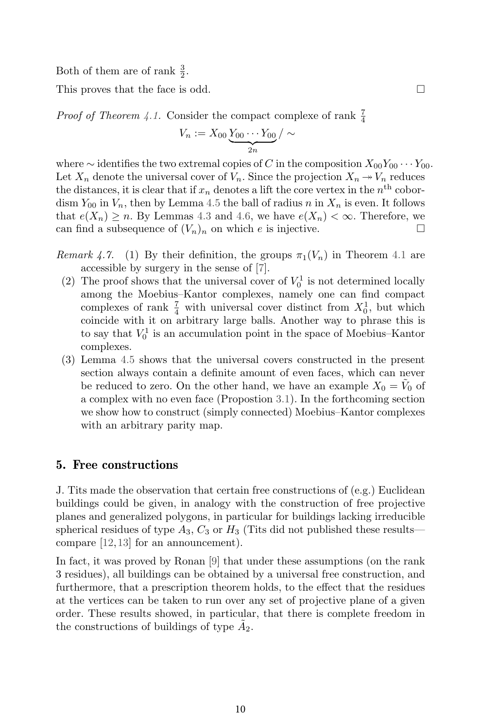Both of them are of rank  $\frac{3}{2}$ .

This proves that the face is odd.  $\square$ 

*Proof of Theorem 4.1.* Consider the compact complexe of rank  $\frac{7}{4}$ 

$$
V_n := X_{00} \underbrace{Y_{00} \cdots Y_{00}}_{2n} / \sim
$$

where  $\sim$  identifies the two extremal copies of C in the composition  $X_{00}Y_{00} \cdots Y_{00}$ . Let  $X_n$  denote the universal cover of  $V_n$ . Since the projection  $X_n \to V_n$  reduces the distances, it is clear that if  $x_n$  denotes a lift the core vertex in the  $n<sup>th</sup>$  cobordism  $Y_{00}$  in  $V_n$ , then by Lemma 4.5 the ball of radius n in  $X_n$  is even. It follows that  $e(X_n) \ge n$ . By Lemmas 4.3 and 4.6, we have  $e(X_n) < \infty$ . Therefore, we can find a subsequence of  $(V_n)_n$  on which e is injective.  $\Box$ 

- *Remark 4.7.* (1) By their definition, the groups  $\pi_1(V_n)$  in Theorem 4.1 are accessible by surgery in the sense of [7].
	- (2) The proof shows that the universal cover of  $V_0^1$  is not determined locally among the Moebius–Kantor complexes, namely one can find compact complexes of rank  $\frac{7}{4}$  with universal cover distinct from  $X_0^1$ , but which coincide with it on arbitrary large balls. Another way to phrase this is to say that  $V_0^1$  is an accumulation point in the space of Moebius–Kantor complexes.
	- (3) Lemma 4.5 shows that the universal covers constructed in the present section always contain a definite amount of even faces, which can never be reduced to zero. On the other hand, we have an example  $X_0 = V_0$  of a complex with no even face (Propostion 3.1). In the forthcoming section we show how to construct (simply connected) Moebius–Kantor complexes with an arbitrary parity map.

#### **5. Free constructions**

J. Tits made the observation that certain free constructions of (e.g.) Euclidean buildings could be given, in analogy with the construction of free projective planes and generalized polygons, in particular for buildings lacking irreducible spherical residues of type  $A_3$ ,  $C_3$  or  $H_3$  (Tits did not published these results compare [12,13] for an announcement).

In fact, it was proved by Ronan [9] that under these assumptions (on the rank 3 residues), all buildings can be obtained by a universal free construction, and furthermore, that a prescription theorem holds, to the effect that the residues at the vertices can be taken to run over any set of projective plane of a given order. These results showed, in particular, that there is complete freedom in the constructions of buildings of type  $A_2$ .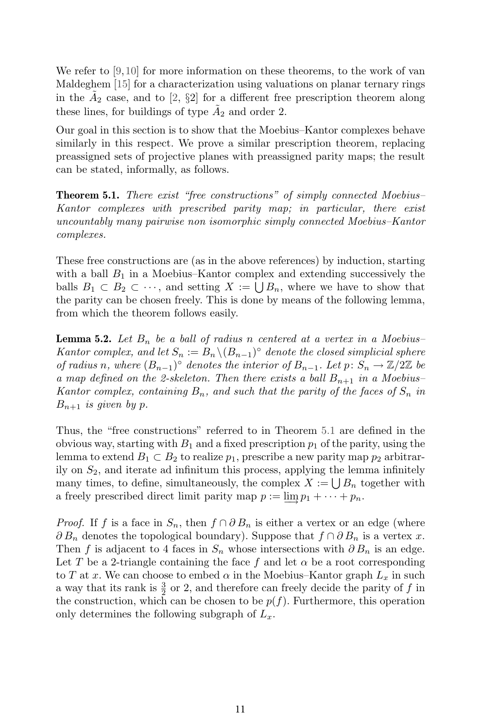We refer to  $[9,10]$  for more information on these theorems, to the work of van Maldeghem [15] for a characterization using valuations on planar ternary rings in the  $A_2$  case, and to [2, §2] for a different free prescription theorem along these lines, for buildings of type  $A_2$  and order 2.

Our goal in this section is to show that the Moebius–Kantor complexes behave similarly in this respect. We prove a similar prescription theorem, replacing preassigned sets of projective planes with preassigned parity maps; the result can be stated, informally, as follows.

**Theorem 5.1.** *There exist "free constructions" of simply connected Moebius– Kantor complexes with prescribed parity map; in particular, there exist uncountably many pairwise non isomorphic simply connected Moebius–Kantor complexes.*

These free constructions are (as in the above references) by induction, starting with a ball  $B_1$  in a Moebius–Kantor complex and extending successively the balls  $B_1 \subset B_2 \subset \cdots$ , and setting  $X := \bigcup B_n$ , where we have to show that the parity can be chosen freely. This is done by means of the following lemma, from which the theorem follows easily.

**Lemma 5.2.** Let  $B_n$  be a ball of radius n centered at a vertex in a Moebius– *Kantor complex, and let*  $S_n := B_n \setminus (B_{n-1})$ <sup>°</sup> *denote the closed simplicial sphere of radius n, where*  $(B_{n-1})^{\circ}$  *denotes the interior of*  $B_{n-1}$ *. Let*  $p: S_n \to \mathbb{Z}/2\mathbb{Z}$  *be a map defined on the 2-skeleton. Then there exists a ball*  $B_{n+1}$  *in a Moebius– Kantor complex, containing*  $B_n$ *, and such that the parity of the faces of*  $S_n$  *in*  $B_{n+1}$  *is given by p.* 

Thus, the "free constructions" referred to in Theorem 5.1 are defined in the obvious way, starting with  $B_1$  and a fixed prescription  $p_1$  of the parity, using the lemma to extend  $B_1 \subset B_2$  to realize  $p_1$ , prescribe a new parity map  $p_2$  arbitrarily on  $S_2$ , and iterate ad infinitum this process, applying the lemma infinitely many times, to define, simultaneously, the complex  $X := \bigcup B_n$  together with a freely prescribed direct limit parity map  $p := \lim p_1 + \cdots + p_n$ .

*Proof.* If f is a face in  $S_n$ , then  $f \cap \partial B_n$  is either a vertex or an edge (where  $\partial B_n$  denotes the topological boundary). Suppose that  $f \cap \partial B_n$  is a vertex x. Then f is adjacent to 4 faces in  $S_n$  whose intersections with  $\partial B_n$  is an edge. Let T be a 2-triangle containing the face f and let  $\alpha$  be a root corresponding to T at x. We can choose to embed  $\alpha$  in the Moebius–Kantor graph  $L_x$  in such a way that its rank is  $\frac{3}{2}$  or 2, and therefore can freely decide the parity of f in the construction, which can be chosen to be  $p(f)$ . Furthermore, this operation only determines the following subgraph of  $L<sub>x</sub>$ .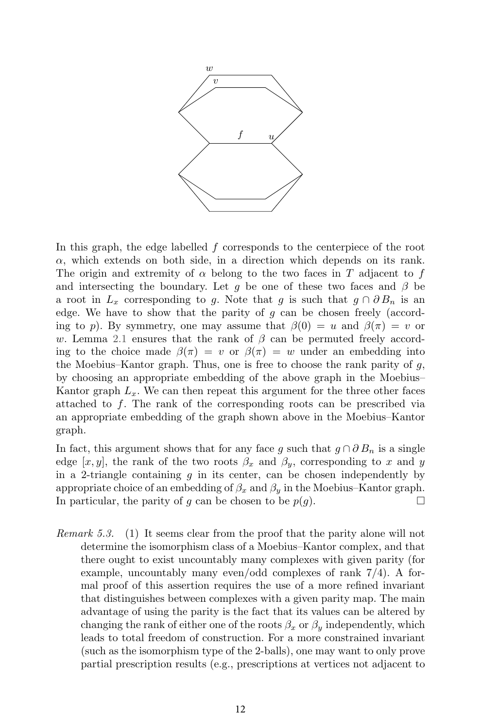

In this graph, the edge labelled  $f$  corresponds to the centerpiece of the root  $\alpha$ , which extends on both side, in a direction which depends on its rank. The origin and extremity of  $\alpha$  belong to the two faces in T adjacent to f and intersecting the boundary. Let g be one of these two faces and  $\beta$  be a root in  $L_x$  corresponding to g. Note that g is such that  $g \cap \partial B_n$  is an edge. We have to show that the parity of g can be chosen freely (according to p). By symmetry, one may assume that  $\beta(0) = u$  and  $\beta(\pi) = v$  or w. Lemma 2.1 ensures that the rank of  $\beta$  can be permuted freely according to the choice made  $\beta(\pi) = v$  or  $\beta(\pi) = w$  under an embedding into the Moebius–Kantor graph. Thus, one is free to choose the rank parity of  $q$ , by choosing an appropriate embedding of the above graph in the Moebius– Kantor graph  $L_x$ . We can then repeat this argument for the three other faces attached to f. The rank of the corresponding roots can be prescribed via an appropriate embedding of the graph shown above in the Moebius–Kantor graph.

In fact, this argument shows that for any face g such that  $g \cap \partial B_n$  is a single edge [x, y], the rank of the two roots  $\beta_x$  and  $\beta_y$ , corresponding to x and y in a 2-triangle containing  $g$  in its center, can be chosen independently by appropriate choice of an embedding of  $\beta_x$  and  $\beta_y$  in the Moebius–Kantor graph. In particular, the parity of g can be chosen to be  $p(g)$ .  $\Box$ 

*Remark 5.3.* (1) It seems clear from the proof that the parity alone will not determine the isomorphism class of a Moebius–Kantor complex, and that there ought to exist uncountably many complexes with given parity (for example, uncountably many even/odd complexes of rank 7/4). A formal proof of this assertion requires the use of a more refined invariant that distinguishes between complexes with a given parity map. The main advantage of using the parity is the fact that its values can be altered by changing the rank of either one of the roots  $\beta_x$  or  $\beta_y$  independently, which leads to total freedom of construction. For a more constrained invariant (such as the isomorphism type of the 2-balls), one may want to only prove partial prescription results (e.g., prescriptions at vertices not adjacent to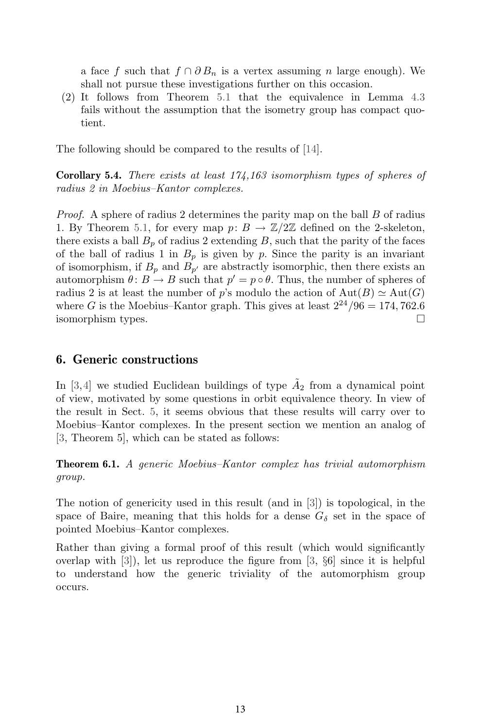a face f such that  $f \cap \partial B_n$  is a vertex assuming n large enough). We shall not pursue these investigations further on this occasion.

(2) It follows from Theorem 5.1 that the equivalence in Lemma 4.3 fails without the assumption that the isometry group has compact quotient.

The following should be compared to the results of [14].

**Corollary 5.4.** *There exists at least 174,163 isomorphism types of spheres of radius 2 in Moebius–Kantor complexes.*

*Proof.* A sphere of radius 2 determines the parity map on the ball B of radius 1. By Theorem 5.1, for every map  $p: B \to \mathbb{Z}/2\mathbb{Z}$  defined on the 2-skeleton, there exists a ball  $B_p$  of radius 2 extending B, such that the parity of the faces of the ball of radius 1 in  $B_p$  is given by p. Since the parity is an invariant of isomorphism, if  $B_p$  and  $B_{p'}$  are abstractly isomorphic, then there exists an automorphism  $\theta: B \to B$  such that  $p' = p \circ \theta$ . Thus, the number of spheres of radius 2 is at least the number of p's modulo the action of  $Aut(B) \simeq Aut(G)$ where G is the Moebius–Kantor graph. This gives at least  $2^{24}/96 = 174,762.6$ isomorphism types. -

#### **6. Generic constructions**

In [3,4] we studied Euclidean buildings of type  $\tilde{A}_2$  from a dynamical point of view, motivated by some questions in orbit equivalence theory. In view of the result in Sect. 5, it seems obvious that these results will carry over to Moebius–Kantor complexes. In the present section we mention an analog of [3, Theorem 5], which can be stated as follows:

**Theorem 6.1.** *A generic Moebius–Kantor complex has trivial automorphism group.*

The notion of genericity used in this result (and in [3]) is topological, in the space of Baire, meaning that this holds for a dense  $G_{\delta}$  set in the space of pointed Moebius–Kantor complexes.

Rather than giving a formal proof of this result (which would significantly overlap with [3]), let us reproduce the figure from [3, §6] since it is helpful to understand how the generic triviality of the automorphism group occurs.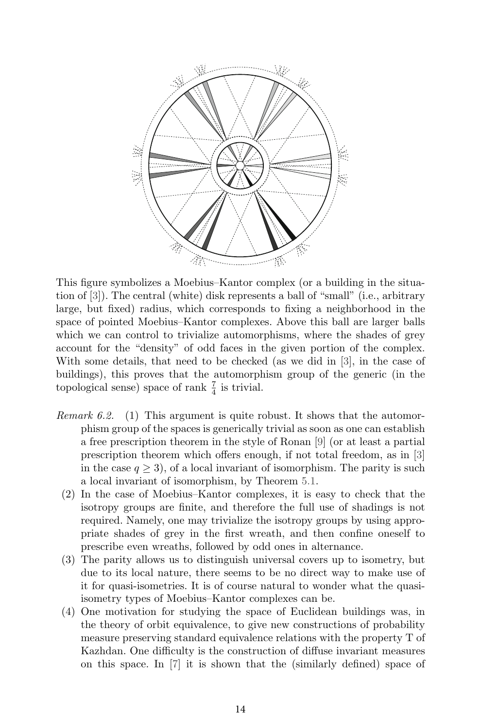

This figure symbolizes a Moebius–Kantor complex (or a building in the situation of [3]). The central (white) disk represents a ball of "small" (i.e., arbitrary large, but fixed) radius, which corresponds to fixing a neighborhood in the space of pointed Moebius–Kantor complexes. Above this ball are larger balls which we can control to trivialize automorphisms, where the shades of grey account for the "density" of odd faces in the given portion of the complex. With some details, that need to be checked (as we did in [3], in the case of buildings), this proves that the automorphism group of the generic (in the topological sense) space of rank  $\frac{7}{4}$  is trivial.

- *Remark 6.2.* (1) This argument is quite robust. It shows that the automorphism group of the spaces is generically trivial as soon as one can establish a free prescription theorem in the style of Ronan [9] (or at least a partial prescription theorem which offers enough, if not total freedom, as in [3] in the case  $q > 3$ , of a local invariant of isomorphism. The parity is such a local invariant of isomorphism, by Theorem 5.1.
	- (2) In the case of Moebius–Kantor complexes, it is easy to check that the isotropy groups are finite, and therefore the full use of shadings is not required. Namely, one may trivialize the isotropy groups by using appropriate shades of grey in the first wreath, and then confine oneself to prescribe even wreaths, followed by odd ones in alternance.
	- (3) The parity allows us to distinguish universal covers up to isometry, but due to its local nature, there seems to be no direct way to make use of it for quasi-isometries. It is of course natural to wonder what the quasiisometry types of Moebius–Kantor complexes can be.
	- (4) One motivation for studying the space of Euclidean buildings was, in the theory of orbit equivalence, to give new constructions of probability measure preserving standard equivalence relations with the property T of Kazhdan. One difficulty is the construction of diffuse invariant measures on this space. In [7] it is shown that the (similarly defined) space of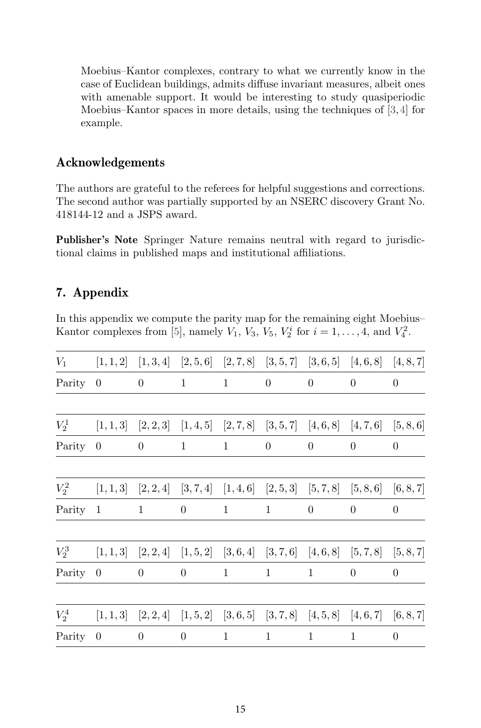Moebius–Kantor complexes, contrary to what we currently know in the case of Euclidean buildings, admits diffuse invariant measures, albeit ones with amenable support. It would be interesting to study quasiperiodic Moebius–Kantor spaces in more details, using the techniques of [3,4] for example.

### **Acknowledgements**

The authors are grateful to the referees for helpful suggestions and corrections. The second author was partially supported by an NSERC discovery Grant No. 418144-12 and a JSPS award.

**Publisher's Note** Springer Nature remains neutral with regard to jurisdictional claims in published maps and institutional affiliations.

### **7. Appendix**

In this appendix we compute the parity map for the remaining eight Moebius– Kantor complexes from [5], namely  $V_1$ ,  $V_3$ ,  $V_5$ ,  $V_2^i$  for  $i = 1, ..., 4$ , and  $V_4^2$ .

| $V_1$   |                |                     |              |              |                                     |              | $[1,1,2]$ $[1,3,4]$ $[2,5,6]$ $[2,7,8]$ $[3,5,7]$ $[3,6,5]$ $[4,6,8]$ $[4,8,7]$ |           |
|---------|----------------|---------------------|--------------|--------------|-------------------------------------|--------------|---------------------------------------------------------------------------------|-----------|
| Parity  | $\theta$       | $\theta$            | $\mathbf{1}$ | $\mathbf{1}$ | $\theta$                            | $\theta$     | $\theta$                                                                        | $\theta$  |
|         |                |                     |              |              |                                     |              |                                                                                 |           |
| $V_2^1$ |                |                     |              |              |                                     |              | $[1,1,3]$ $[2,2,3]$ $[1,4,5]$ $[2,7,8]$ $[3,5,7]$ $[4,6,8]$ $[4,7,6]$ $[5,8,6]$ |           |
| Parity  | $\overline{0}$ | $\theta$            | $\mathbf{1}$ | $\mathbf{1}$ | $\theta$                            | $\theta$     | $\theta$                                                                        | $\theta$  |
| $V_2^2$ | [1, 1, 3]      |                     |              |              |                                     |              | $[2,2,4]$ $[3,7,4]$ $[1,4,6]$ $[2,5,3]$ $[5,7,8]$ $[5,8,6]$ $[6,8,7]$           |           |
| Parity  | 1              | $\mathbf{1}$        | $\theta$     | $\mathbf{1}$ | 1                                   | $\theta$     | $\theta$                                                                        | $\theta$  |
| $V_2^3$ |                |                     |              |              |                                     |              | $[1,1,3]$ $[2,2,4]$ $[1,5,2]$ $[3,6,4]$ $[3,7,6]$ $[4,6,8]$ $[5,7,8]$ $[5,8,7]$ |           |
| Parity  | $\theta$       | $\theta$            | $\theta$     | $\mathbf{1}$ | 1                                   | $\mathbf{1}$ | $\theta$                                                                        | $\theta$  |
| $V_2^4$ | [1, 1, 3]      | $[2,2,4]$ $[1,5,2]$ |              | [3,6,5]      | $[3, 7, 8]$ $[4, 5, 8]$ $[4, 6, 7]$ |              |                                                                                 | [6, 8, 7] |
| Parity  | $\overline{0}$ | $\theta$            | $\theta$     | $\mathbf{1}$ | 1                                   | $\mathbf{1}$ | 1                                                                               | $\theta$  |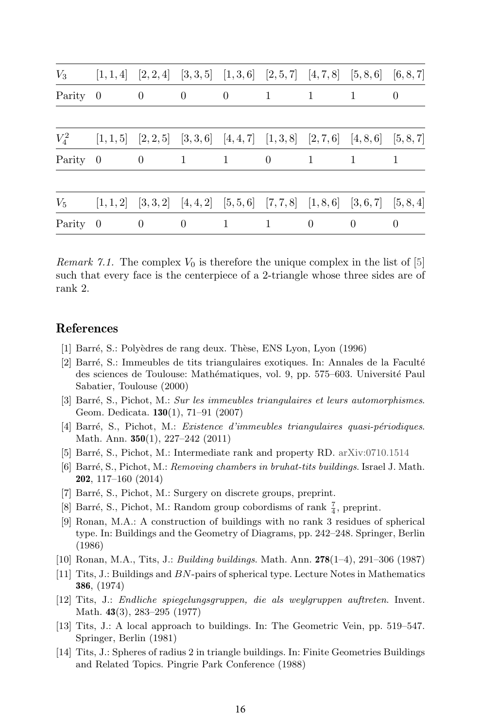|          |                          |                          |                                   |                            |                |                | $V_3$ [1, 1, 4] [2, 2, 4] [3, 3, 5] [1, 3, 6] [2, 5, 7] [4, 7, 8] [5, 8, 6] [6, 8, 7]   |          |
|----------|--------------------------|--------------------------|-----------------------------------|----------------------------|----------------|----------------|-----------------------------------------------------------------------------------------|----------|
| Parity 0 |                          | $\overline{\phantom{0}}$ | $\overline{0}$                    | $\overline{0}$<br>$\sim$ 1 |                | $\overline{1}$ |                                                                                         | $\Omega$ |
|          |                          |                          |                                   |                            |                |                | $V_4^2$ [1, 1, 5] [2, 2, 5] [3, 3, 6] [4, 4, 7] [1, 3, 8] [2, 7, 6] [4, 8, 6] [5, 8, 7] |          |
| Parity 0 | $\overline{\phantom{0}}$ |                          | $1 \quad 1 \quad 1$               |                            | $\overline{0}$ | $\sim$ 1       | $\overline{1}$                                                                          | 1        |
|          |                          |                          |                                   |                            |                |                | $V_5$ [1, 1, 2] [3, 3, 2] [4, 4, 2] [5, 5, 6] [7, 7, 8] [1, 8, 6] [3, 6, 7] [5, 8, 4]   |          |
| Parity 0 |                          | $\sim 0$                 | $\overline{0}$<br>$\sim$ 1 $\sim$ |                            | - 1            | $\left($       | $\theta$                                                                                | $\Omega$ |

*Remark 7.1.* The complex  $V_0$  is therefore the unique complex in the list of [5] such that every face is the centerpiece of a 2-triangle whose three sides are of rank 2.

#### **References**

- [1] Barré, S.: Polyèdres de rang deux. Thèse, ENS Lyon, Lyon (1996)
- [2] Barré, S.: Immeubles de tits triangulaires exotiques. In: Annales de la Faculté des sciences de Toulouse: Mathématiques, vol. 9, pp. 575–603. Université Paul Sabatier, Toulouse (2000)
- [3] Barr´e, S., Pichot, M.: *Sur les immeubles triangulaires et leurs automorphismes*. Geom. Dedicata. **130**(1), 71–91 (2007)
- [4] Barr´e, S., Pichot, M.: *Existence d'immeubles triangulaires quasi-p´eriodiques*. Math. Ann. **350**(1), 227–242 (2011)
- [5] Barré, S., Pichot, M.: Intermediate rank and property RD. arXiv:0710.1514
- [6] Barr´e, S., Pichot, M.: *Removing chambers in bruhat-tits buildings*. Israel J. Math. **202**, 117–160 (2014)
- [7] Barré, S., Pichot, M.: Surgery on discrete groups, preprint.
- [8] Barré, S., Pichot, M.: Random group cobordisms of rank  $\frac{7}{4}$ , preprint.
- [9] Ronan, M.A.: A construction of buildings with no rank 3 residues of spherical type. In: Buildings and the Geometry of Diagrams, pp. 242–248. Springer, Berlin (1986)
- [10] Ronan, M.A., Tits, J.: *Building buildings*. Math. Ann. **278**(1–4), 291–306 (1987)
- [11] Tits, J.: Buildings and *BN*-pairs of spherical type. Lecture Notes in Mathematics **386**, (1974)
- [12] Tits, J.: *Endliche spiegelungsgruppen, die als weylgruppen auftreten*. Invent. Math. **43**(3), 283–295 (1977)
- [13] Tits, J.: A local approach to buildings. In: The Geometric Vein, pp. 519–547. Springer, Berlin (1981)
- [14] Tits, J.: Spheres of radius 2 in triangle buildings. In: Finite Geometries Buildings and Related Topics. Pingrie Park Conference (1988)